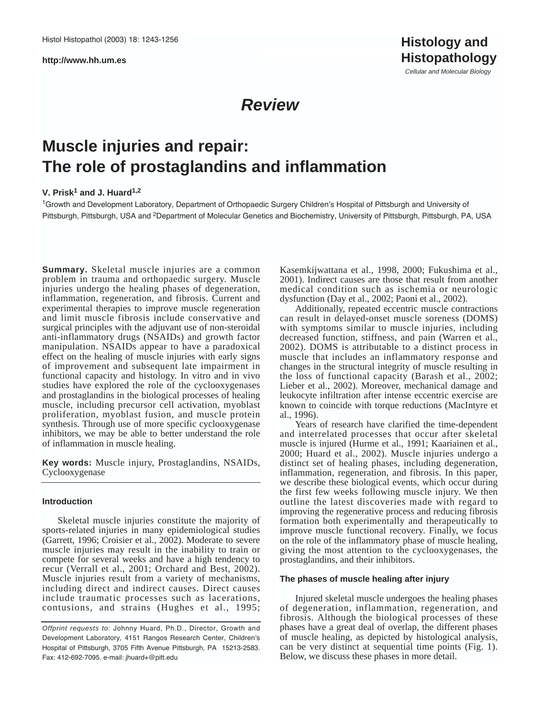**http://www.hh.um.es**

Cellular and Molecular Biology

## **Review**

# **Muscle injuries and repair: The role of prostaglandins and inflammation**

## **V. Prisk1 and J. Huard1,2**

<sup>1</sup>Growth and Development Laboratory, Department of Orthopaedic Surgery Children's Hospital of Pittsburgh and University of Pittsburgh, Pittsburgh, USA and 2Department of Molecular Genetics and Biochemistry, University of Pittsburgh, Pittsburgh, PA, USA

**Summary.** Skeletal muscle injuries are a common problem in trauma and orthopaedic surgery. Muscle injuries undergo the healing phases of degeneration, inflammation, regeneration, and fibrosis. Current and experimental therapies to improve muscle regeneration and limit muscle fibrosis include conservative and surgical principles with the adjuvant use of non-steroidal anti-inflammatory drugs (NSAIDs) and growth factor manipulation. NSAIDs appear to have a paradoxical effect on the healing of muscle injuries with early signs of improvement and subsequent late impairment in functional capacity and histology. In vitro and in vivo studies have explored the role of the cyclooxygenases and prostaglandins in the biological processes of healing muscle, including precursor cell activation, myoblast proliferation, myoblast fusion, and muscle protein synthesis. Through use of more specific cyclooxygenase inhibitors, we may be able to better understand the role of inflammation in muscle healing.

**Key words:** Muscle injury, Prostaglandins, NSAIDs, Cyclooxygenase

## **Introduction**

Skeletal muscle injuries constitute the majority of sports-related injuries in many epidemiological studies (Garrett, 1996; Croisier et al., 2002). Moderate to severe muscle injuries may result in the inability to train or compete for several weeks and have a high tendency to recur (Verrall et al., 2001; Orchard and Best, 2002). Muscle injuries result from a variety of mechanisms, including direct and indirect causes. Direct causes include traumatic processes such as lacerations, contusions, and strains (Hughes et al., 1995; Kasemkijwattana et al., 1998, 2000; Fukushima et al., 2001). Indirect causes are those that result from another medical condition such as ischemia or neurologic dysfunction (Day et al., 2002; Paoni et al., 2002).

Additionally, repeated eccentric muscle contractions can result in delayed-onset muscle soreness (DOMS) with symptoms similar to muscle injuries, including decreased function, stiffness, and pain (Warren et al., 2002). DOMS is attributable to a distinct process in muscle that includes an inflammatory response and changes in the structural integrity of muscle resulting in the loss of functional capacity (Barash et al., 2002; Lieber et al., 2002). Moreover, mechanical damage and leukocyte infiltration after intense eccentric exercise are known to coincide with torque reductions (MacIntyre et al., 1996).

Years of research have clarified the time-dependent and interrelated processes that occur after skeletal muscle is injured (Hurme et al., 1991; Kaariainen et al., 2000; Huard et al., 2002). Muscle injuries undergo a distinct set of healing phases, including degeneration, inflammation, regeneration, and fibrosis. In this paper, we describe these biological events, which occur during the first few weeks following muscle injury. We then outline the latest discoveries made with regard to improving the regenerative process and reducing fibrosis formation both experimentally and therapeutically to improve muscle functional recovery. Finally, we focus on the role of the inflammatory phase of muscle healing, giving the most attention to the cyclooxygenases, the prostaglandins, and their inhibitors.

#### **The phases of muscle healing after injury**

Injured skeletal muscle undergoes the healing phases of degeneration, inflammation, regeneration, and fibrosis. Although the biological processes of these phases have a great deal of overlap, the different phases of muscle healing, as depicted by histological analysis, can be very distinct at sequential time points (Fig. 1). Below, we discuss these phases in more detail.

Offprint requests to: Johnny Huard, Ph.D., Director, Growth and Development Laboratory, 4151 Rangos Research Center, Children's Hospital of Pittsburgh, 3705 Fifth Avenue Pittsburgh, PA 15213-2583. Fax: 412-692-7095. e-mail: jhuard+@pitt.edu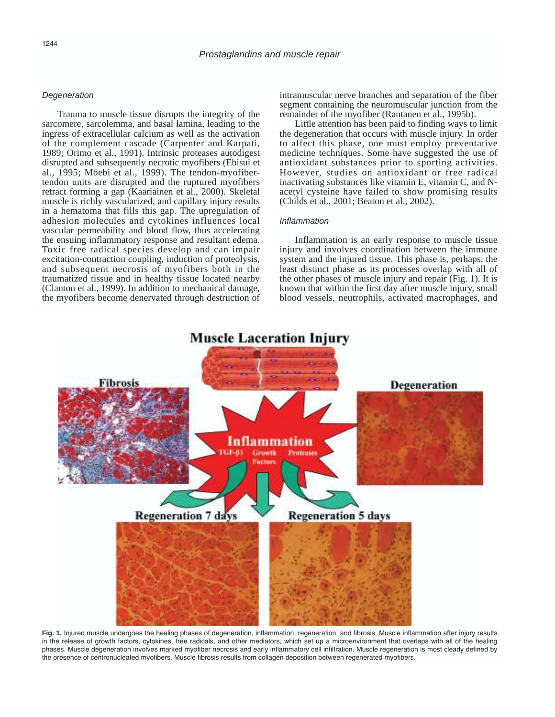## **Degeneration**

Trauma to muscle tissue disrupts the integrity of the sarcomere, sarcolemma, and basal lamina, leading to the ingress of extracellular calcium as well as the activation of the complement cascade (Carpenter and Karpati, 1989; Orimo et al., 1991). Intrinsic proteases autodigest disrupted and subsequently necrotic myofibers (Ebisui et al., 1995; Mbebi et al., 1999). The tendon-myofibertendon units are disrupted and the ruptured myofibers retract forming a gap (Kaariainen et al., 2000). Skeletal muscle is richly vascularized, and capillary injury results in a hematoma that fills this gap. The upregulation of adhesion molecules and cytokines influences local vascular permeability and blood flow, thus accelerating the ensuing inflammatory response and resultant edema. Toxic free radical species develop and can impair excitation-contraction coupling, induction of proteolysis, and subsequent necrosis of myofibers both in the traumatized tissue and in healthy tissue located nearby (Clanton et al., 1999). In addition to mechanical damage, the myofibers become denervated through destruction of intramuscular nerve branches and separation of the fiber segment containing the neuromuscular junction from the remainder of the myofiber (Rantanen et al., 1995b).

Little attention has been paid to finding ways to limit the degeneration that occurs with muscle injury. In order to affect this phase, one must employ preventative medicine techniques. Some have suggested the use of antioxidant substances prior to sporting activities. However, studies on antioxidant or free radical inactivating substances like vitamin E, vitamin C, and Nacetyl cysteine have failed to show promising results (Childs et al., 2001; Beaton et al., 2002).

## Inflammation

Inflammation is an early response to muscle tissue injury and involves coordination between the immune system and the injured tissue. This phase is, perhaps, the least distinct phase as its processes overlap with all of the other phases of muscle injury and repair (Fig. 1). It is known that within the first day after muscle injury, small blood vessels, neutrophils, activated macrophages, and



Fig. 1. Injured muscle undergoes the healing phases of degeneration, inflammation, regeneration, and fibrosis. Muscle inflammation after injury results in the release of growth factors, cytokines, free radicals, and other mediators, which set up a microenvironment that overlaps with all of the healing phases. Muscle degeneration involves marked myofiber necrosis and early inflammatory cell infiltration. Muscle regeneration is most clearly defined by the presence of centronucleated myofibers. Muscle fibrosis results from collagen deposition between regenerated myofibers.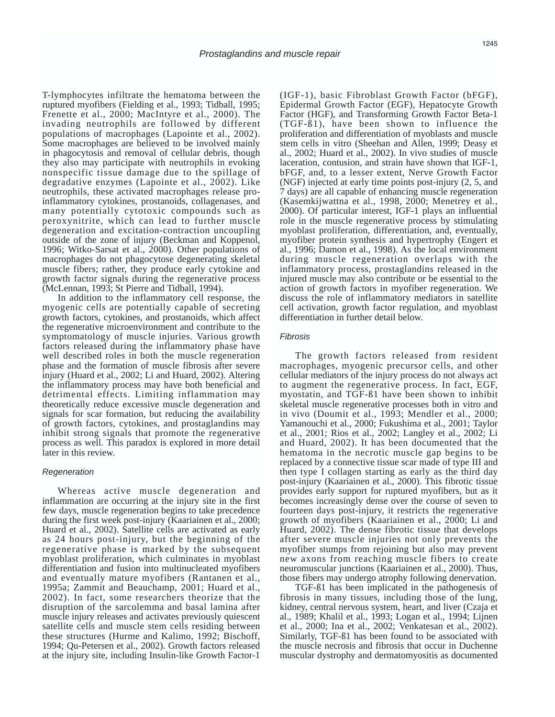T-lymphocytes infiltrate the hematoma between the ruptured myofibers (Fielding et al., 1993; Tidball, 1995; Frenette et al., 2000; MacIntyre et al., 2000). The invading neutrophils are followed by different populations of macrophages (Lapointe et al., 2002). Some macrophages are believed to be involved mainly in phagocytosis and removal of cellular debris, though they also may participate with neutrophils in evoking nonspecific tissue damage due to the spillage of degradative enzymes (Lapointe et al., 2002). Like neutrophils, these activated macrophages release proinflammatory cytokines, prostanoids, collagenases, and many potentially cytotoxic compounds such as peroxynitrite, which can lead to further muscle degeneration and excitation-contraction uncoupling outside of the zone of injury (Beckman and Koppenol, 1996; Witko-Sarsat et al., 2000). Other populations of macrophages do not phagocytose degenerating skeletal muscle fibers; rather, they produce early cytokine and growth factor signals during the regenerative process (McLennan, 1993; St Pierre and Tidball, 1994).

In addition to the inflammatory cell response, the myogenic cells are potentially capable of secreting growth factors, cytokines, and prostanoids, which affect the regenerative microenvironment and contribute to the symptomatology of muscle injuries. Various growth factors released during the inflammatory phase have well described roles in both the muscle regeneration phase and the formation of muscle fibrosis after severe injury (Huard et al., 2002; Li and Huard, 2002). Altering the inflammatory process may have both beneficial and detrimental effects. Limiting inflammation may theoretically reduce excessive muscle degeneration and signals for scar formation, but reducing the availability of growth factors, cytokines, and prostaglandins may inhibit strong signals that promote the regenerative process as well. This paradox is explored in more detail later in this review.

#### **Regeneration**

Whereas active muscle degeneration and inflammation are occurring at the injury site in the first few days, muscle regeneration begins to take precedence during the first week post-injury (Kaariainen et al., 2000; Huard et al., 2002). Satellite cells are activated as early as 24 hours post-injury, but the beginning of the regenerative phase is marked by the subsequent myoblast proliferation, which culminates in myoblast differentiation and fusion into multinucleated myofibers and eventually mature myofibers (Rantanen et al., 1995a; Zammit and Beauchamp, 2001; Huard et al., 2002). In fact, some researchers theorize that the disruption of the sarcolemma and basal lamina after muscle injury releases and activates previously quiescent satellite cells and muscle stem cells residing between these structures (Hurme and Kalimo, 1992; Bischoff, 1994; Qu-Petersen et al., 2002). Growth factors released at the injury site, including Insulin-like Growth Factor-1

(IGF-1), basic Fibroblast Growth Factor (bFGF), Epidermal Growth Factor (EGF), Hepatocyte Growth Factor (HGF), and Transforming Growth Factor Beta-1 (TGF-ß1), have been shown to influence the proliferation and differentiation of myoblasts and muscle stem cells in vitro (Sheehan and Allen, 1999; Deasy et al., 2002; Huard et al., 2002). In vivo studies of muscle laceration, contusion, and strain have shown that IGF-1, bFGF, and, to a lesser extent, Nerve Growth Factor (NGF) injected at early time points post-injury (2, 5, and 7 days) are all capable of enhancing muscle regeneration (Kasemkijwattna et al., 1998, 2000; Menetrey et al., 2000). Of particular interest, IGF-1 plays an influential role in the muscle regenerative process by stimulating myoblast proliferation, differentiation, and, eventually, myofiber protein synthesis and hypertrophy (Engert et al., 1996; Damon et al., 1998). As the local environment during muscle regeneration overlaps with the inflammatory process, prostaglandins released in the injured muscle may also contribute or be essential to the action of growth factors in myofiber regeneration. We discuss the role of inflammatory mediators in satellite cell activation, growth factor regulation, and myoblast differentiation in further detail below.

## Fibrosis

The growth factors released from resident macrophages, myogenic precursor cells, and other cellular mediators of the injury process do not always act to augment the regenerative process. In fact, EGF, myostatin, and TGF-ß1 have been shown to inhibit skeletal muscle regenerative processes both in vitro and in vivo (Doumit et al., 1993; Mendler et al., 2000; Yamanouchi et al., 2000; Fukushima et al., 2001; Taylor et al., 2001; Rios et al., 2002; Langley et al., 2002; Li and Huard, 2002). It has been documented that the hematoma in the necrotic muscle gap begins to be replaced by a connective tissue scar made of type III and then type I collagen starting as early as the third day post-injury (Kaariainen et al., 2000). This fibrotic tissue provides early support for ruptured myofibers, but as it becomes increasingly dense over the course of seven to fourteen days post-injury, it restricts the regenerative growth of myofibers (Kaariainen et al., 2000; Li and Huard, 2002). The dense fibrotic tissue that develops after severe muscle injuries not only prevents the myofiber stumps from rejoining but also may prevent new axons from reaching muscle fibers to create neuromuscular junctions (Kaariainen et al., 2000). Thus, those fibers may undergo atrophy following denervation.

TGF-ß1 has been implicated in the pathogenesis of fibrosis in many tissues, including those of the lung, kidney, central nervous system, heart, and liver (Czaja et al., 1989; Khalil et al., 1993; Logan et al., 1994; Lijnen et al., 2000; Ina et al., 2002; Venkatesan et al., 2002). Similarly, TGF-ß1 has been found to be associated with the muscle necrosis and fibrosis that occur in Duchenne muscular dystrophy and dermatomyositis as documented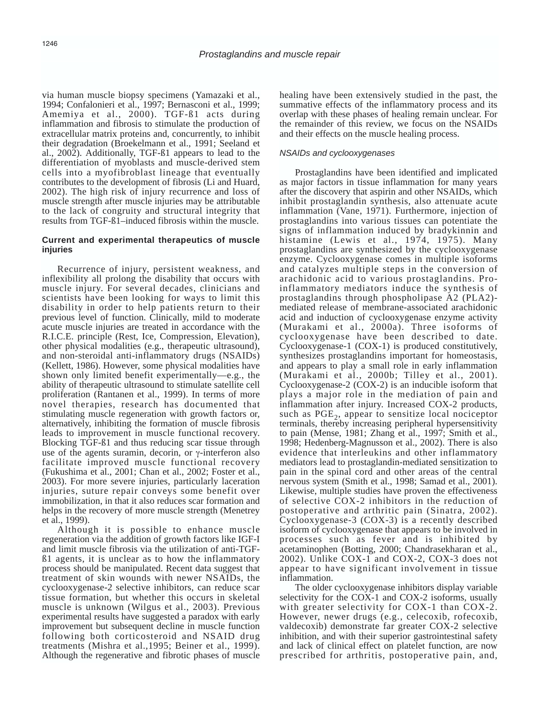via human muscle biopsy specimens (Yamazaki et al., 1994; Confalonieri et al., 1997; Bernasconi et al., 1999; Amemiya et al., 2000). TGF-ß1 acts during inflammation and fibrosis to stimulate the production of extracellular matrix proteins and, concurrently, to inhibit their degradation (Broekelmann et al., 1991; Seeland et al., 2002). Additionally, TGF-ß1 appears to lead to the differentiation of myoblasts and muscle-derived stem cells into a myofibroblast lineage that eventually contributes to the development of fibrosis (Li and Huard, 2002). The high risk of injury recurrence and loss of muscle strength after muscle injuries may be attributable to the lack of congruity and structural integrity that results from TGF-ß1–induced fibrosis within the muscle.

## **Current and experimental therapeutics of muscle injuries**

Recurrence of injury, persistent weakness, and inflexibility all prolong the disability that occurs with muscle injury. For several decades, clinicians and scientists have been looking for ways to limit this disability in order to help patients return to their previous level of function. Clinically, mild to moderate acute muscle injuries are treated in accordance with the R.I.C.E. principle (Rest, Ice, Compression, Elevation), other physical modalities (e.g., therapeutic ultrasound), and non-steroidal anti-inflammatory drugs (NSAIDs) (Kellett, 1986). However, some physical modalities have shown only limited benefit experimentally—e.g., the ability of therapeutic ultrasound to stimulate satellite cell proliferation (Rantanen et al., 1999). In terms of more novel therapies, research has documented that stimulating muscle regeneration with growth factors or, alternatively, inhibiting the formation of muscle fibrosis leads to improvement in muscle functional recovery. Blocking TGF-ß1 and thus reducing scar tissue through use of the agents suramin, decorin, or γ-interferon also facilitate improved muscle functional recovery (Fukushima et al., 2001; Chan et al., 2002; Foster et al., 2003). For more severe injuries, particularly laceration injuries, suture repair conveys some benefit over immobilization, in that it also reduces scar formation and helps in the recovery of more muscle strength (Menetrey et al., 1999).

Although it is possible to enhance muscle regeneration via the addition of growth factors like IGF-I and limit muscle fibrosis via the utilization of anti-TGFß1 agents, it is unclear as to how the inflammatory process should be manipulated. Recent data suggest that treatment of skin wounds with newer NSAIDs, the cyclooxygenase-2 selective inhibitors, can reduce scar tissue formation, but whether this occurs in skeletal muscle is unknown (Wilgus et al., 2003). Previous experimental results have suggested a paradox with early improvement but subsequent decline in muscle function following both corticosteroid and NSAID drug treatments (Mishra et al.,1995; Beiner et al., 1999). Although the regenerative and fibrotic phases of muscle healing have been extensively studied in the past, the summative effects of the inflammatory process and its overlap with these phases of healing remain unclear. For the remainder of this review, we focus on the NSAIDs and their effects on the muscle healing process.

## NSAIDs and cyclooxygenases

Prostaglandins have been identified and implicated as major factors in tissue inflammation for many years after the discovery that aspirin and other NSAIDs, which inhibit prostaglandin synthesis, also attenuate acute inflammation (Vane, 1971). Furthermore, injection of prostaglandins into various tissues can potentiate the signs of inflammation induced by bradykinnin and histamine (Lewis et al., 1974, 1975). Many prostaglandins are synthesized by the cyclooxygenase enzyme. Cyclooxygenase comes in multiple isoforms and catalyzes multiple steps in the conversion of arachidonic acid to various prostaglandins. Proinflammatory mediators induce the synthesis of prostaglandins through phospholipase A2 (PLA2) mediated release of membrane-associated arachidonic acid and induction of cyclooxygenase enzyme activity (Murakami et al., 2000a). Three isoforms of cyclooxygenase have been described to date. Cyclooxygenase-1 (COX-1) is produced constitutively, synthesizes prostaglandins important for homeostasis, and appears to play a small role in early inflammation (Murakami et al., 2000b; Tilley et al., 2001). Cyclooxygenase-2 (COX-2) is an inducible isoform that plays a major role in the mediation of pain and inflammation after injury. Increased COX-2 products, such as  $PGE<sub>2</sub>$ , appear to sensitize local nociceptor terminals, thereby increasing peripheral hypersensitivity to pain (Mense, 1981; Zhang et al., 1997; Smith et al., 1998; Hedenberg-Magnusson et al., 2002). There is also evidence that interleukins and other inflammatory mediators lead to prostaglandin-mediated sensitization to pain in the spinal cord and other areas of the central nervous system (Smith et al., 1998; Samad et al., 2001). Likewise, multiple studies have proven the effectiveness of selective COX-2 inhibitors in the reduction of postoperative and arthritic pain (Sinatra, 2002). Cyclooxygenase-3 (COX-3) is a recently described isoform of cyclooxygenase that appears to be involved in processes such as fever and is inhibited by acetaminophen (Botting, 2000; Chandrasekharan et al., 2002). Unlike COX-1 and COX-2, COX-3 does not appear to have significant involvement in tissue inflammation.

The older cyclooxygenase inhibitors display variable selectivity for the COX-1 and COX-2 isoforms, usually with greater selectivity for COX-1 than COX-2. However, newer drugs (e.g., celecoxib, rofecoxib, valdecoxib) demonstrate far greater COX-2 selective inhibition, and with their superior gastrointestinal safety and lack of clinical effect on platelet function, are now prescribed for arthritis, postoperative pain, and,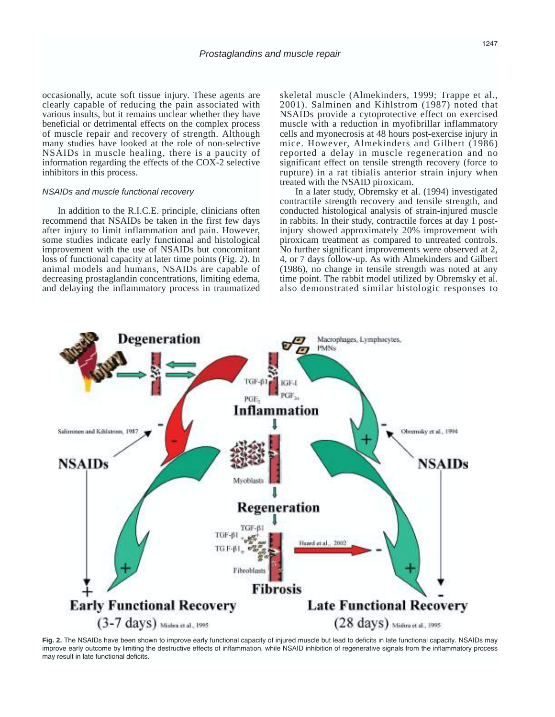occasionally, acute soft tissue injury. These agents are clearly capable of reducing the pain associated with various insults, but it remains unclear whether they have beneficial or detrimental effects on the complex process of muscle repair and recovery of strength. Although many studies have looked at the role of non-selective NSAIDs in muscle healing, there is a paucity of information regarding the effects of the COX-2 selective inhibitors in this process.

### NSAIDs and muscle functional recovery

In addition to the R.I.C.E. principle, clinicians often recommend that NSAIDs be taken in the first few days after injury to limit inflammation and pain. However, some studies indicate early functional and histological improvement with the use of NSAIDs but concomitant loss of functional capacity at later time points (Fig. 2). In animal models and humans, NSAIDs are capable of decreasing prostaglandin concentrations, limiting edema, and delaying the inflammatory process in traumatized skeletal muscle (Almekinders, 1999; Trappe et al., 2001). Salminen and Kihlstrom (1987) noted that NSAIDs provide a cytoprotective effect on exercised muscle with a reduction in myofibrillar inflammatory cells and myonecrosis at 48 hours post-exercise injury in mice. However, Almekinders and Gilbert (1986) reported a delay in muscle regeneration and no significant effect on tensile strength recovery (force to rupture) in a rat tibialis anterior strain injury when treated with the NSAID piroxicam.

In a later study, Obremsky et al. (1994) investigated contractile strength recovery and tensile strength, and conducted histological analysis of strain-injured muscle in rabbits. In their study, contractile forces at day 1 postinjury showed approximately 20% improvement with piroxicam treatment as compared to untreated controls. No further significant improvements were observed at 2, 4, or 7 days follow-up. As with Almekinders and Gilbert (1986), no change in tensile strength was noted at any time point. The rabbit model utilized by Obremsky et al. also demonstrated similar histologic responses to



**Fig. 2.** The NSAIDs have been shown to improve early functional capacity of injured muscle but lead to deficits in late functional capacity. NSAIDs may improve early outcome by limiting the destructive effects of inflammation, while NSAID inhibition of regenerative signals from the inflammatory process may result in late functional deficits.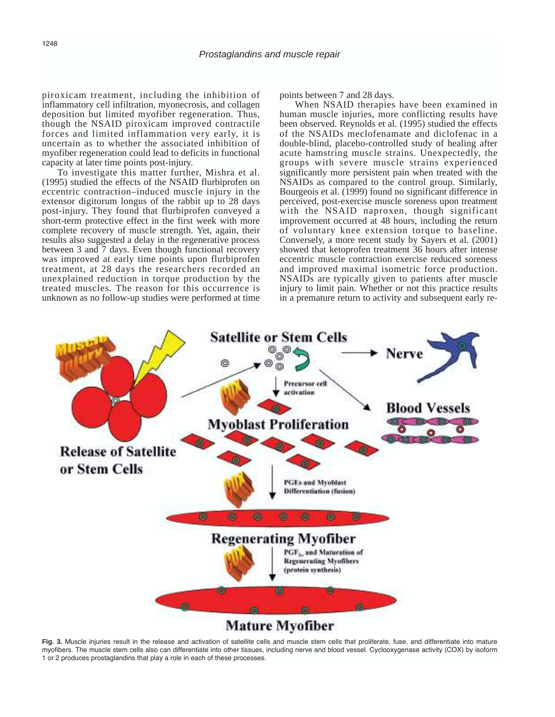piroxicam treatment, including the inhibition of inflammatory cell infiltration, myonecrosis, and collagen deposition but limited myofiber regeneration. Thus, though the NSAID piroxicam improved contractile forces and limited inflammation very early, it is uncertain as to whether the associated inhibition of myofiber regeneration could lead to deficits in functional capacity at later time points post-injury.

To investigate this matter further, Mishra et al. (1995) studied the effects of the NSAID flurbiprofen on eccentric contraction–induced muscle injury in the extensor digitorum longus of the rabbit up to 28 days post-injury. They found that flurbiprofen conveyed a short-term protective effect in the first week with more complete recovery of muscle strength. Yet, again, their results also suggested a delay in the regenerative process between 3 and 7 days. Even though functional recovery was improved at early time points upon flurbiprofen treatment, at 28 days the researchers recorded an unexplained reduction in torque production by the treated muscles. The reason for this occurrence is unknown as no follow-up studies were performed at time points between 7 and 28 days.

When NSAID therapies have been examined in human muscle injuries, more conflicting results have been observed. Reynolds et al. (1995) studied the effects of the NSAIDs meclofenamate and diclofenac in a double-blind, placebo-controlled study of healing after acute hamstring muscle strains. Unexpectedly, the groups with severe muscle strains experienced significantly more persistent pain when treated with the NSAIDs as compared to the control group. Similarly, Bourgeois et al. (1999) found no significant difference in perceived, post-exercise muscle soreness upon treatment with the NSAID naproxen, though significant improvement occurred at 48 hours, including the return of voluntary knee extension torque to baseline. Conversely, a more recent study by Sayers et al. (2001) showed that ketoprofen treatment 36 hours after intense eccentric muscle contraction exercise reduced soreness and improved maximal isometric force production. NSAIDs are typically given to patients after muscle injury to limit pain. Whether or not this practice results in a premature return to activity and subsequent early re-



**Fig. 3.** Muscle injuries result in the release and activation of satellite cells and muscle stem cells that proliferate, fuse, and differentiate into mature myofibers. The muscle stem cells also can differentiate into other tissues, including nerve and blood vessel. Cyclooxygenase activity (COX) by isoform 1 or 2 produces prostaglandins that play a role in each of these processes.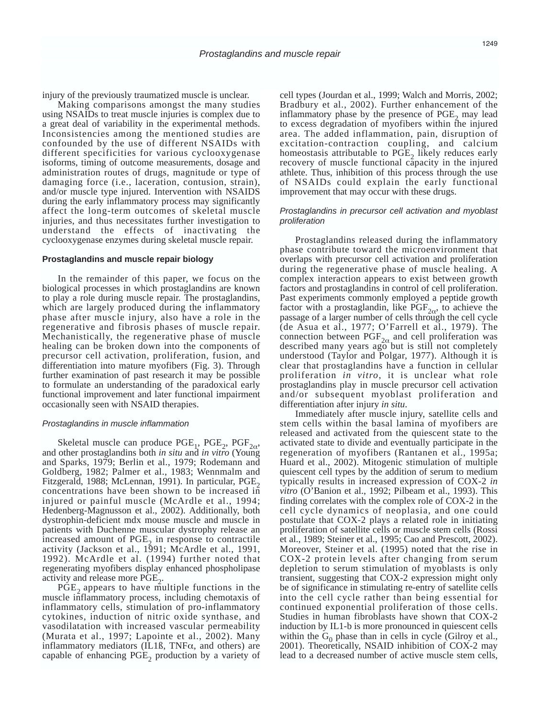injury of the previously traumatized muscle is unclear.

Making comparisons amongst the many studies using NSAIDs to treat muscle injuries is complex due to a great deal of variability in the experimental methods. Inconsistencies among the mentioned studies are confounded by the use of different NSAIDs with different specificities for various cyclooxygenase isoforms, timing of outcome measurements, dosage and administration routes of drugs, magnitude or type of damaging force (i.e., laceration, contusion, strain), and/or muscle type injured. Intervention with NSAIDS during the early inflammatory process may significantly affect the long-term outcomes of skeletal muscle injuries, and thus necessitates further investigation to understand the effects of inactivating the cyclooxygenase enzymes during skeletal muscle repair.

#### **Prostaglandins and muscle repair biology**

In the remainder of this paper, we focus on the biological processes in which prostaglandins are known to play a role during muscle repair. The prostaglandins, which are largely produced during the inflammatory phase after muscle injury, also have a role in the regenerative and fibrosis phases of muscle repair. Mechanistically, the regenerative phase of muscle healing can be broken down into the components of precursor cell activation, proliferation, fusion, and differentiation into mature myofibers (Fig. 3). Through further examination of past research it may be possible to formulate an understanding of the paradoxical early functional improvement and later functional impairment occasionally seen with NSAID therapies.

#### Prostaglandins in muscle inflammation

Skeletal muscle can produce  $PGE_1$ ,  $PGE_2$ ,  $PGF_{2\alpha}$ , and other prostaglandins both *in situ* and *in vitro* (Young and Sparks, 1979; Berlin et al., 1979; Rodemann and Goldberg, 1982; Palmer et al., 1983; Wennmalm and Fitzgerald, 1988; McLennan, 1991). In particular,  $PGE<sub>2</sub>$ concentrations have been shown to be increased in injured or painful muscle (McArdle et al., 1994; Hedenberg-Magnusson et al., 2002). Additionally, both dystrophin-deficient mdx mouse muscle and muscle in patients with Duchenne muscular dystrophy release an increased amount of  $PGE_2$  in response to contractile activity (Jackson et al., 1991; McArdle et al., 1991, 1992). McArdle et al. (1994) further noted that regenerating myofibers display enhanced phospholipase activity and release more PGE<sub>2</sub>.

PGE<sub>2</sub> appears to have multiple functions in the muscle inflammatory process, including chemotaxis of inflammatory cells, stimulation of pro-inflammatory cytokines, induction of nitric oxide synthase, and vasodilatation with increased vascular permeability (Murata et al., 1997; Lapointe et al., 2002). Many inflammatory mediators (IL1ß, TNF $\alpha$ , and others) are capable of enhancing  $PGE<sub>2</sub>$  production by a variety of cell types (Jourdan et al., 1999; Walch and Morris, 2002; Bradbury et al., 2002). Further enhancement of the inflammatory phase by the presence of  $PGE_2$  may lead to excess degradation of myofibers within the injured area. The added inflammation, pain, disruption of excitation-contraction coupling, and calcium homeostasis attributable to  $PGE$ <sub>2</sub> likely reduces early recovery of muscle functional capacity in the injured athlete. Thus, inhibition of this process through the use of NSAIDs could explain the early functional improvement that may occur with these drugs.

## Prostaglandins in precursor cell activation and myoblast proliferation

Prostaglandins released during the inflammatory phase contribute toward the microenvironment that overlaps with precursor cell activation and proliferation during the regenerative phase of muscle healing. A complex interaction appears to exist between growth factors and prostaglandins in control of cell proliferation. Past experiments commonly employed a peptide growth factor with a prostaglandin, like  $PGF_{2\alpha}$ , to achieve the passage of a larger number of cells through the cell cycle (de Asua et al., 1977; O'Farrell et al., 1979). The connection between  $PGF_{2\alpha}$  and cell proliferation was described many years ago but is still not completely understood (Taylor and Polgar, 1977). Although it is clear that prostaglandins have a function in cellular proliferation *in vitro*, it is unclear what role prostaglandins play in muscle precursor cell activation and/or subsequent myoblast proliferation and differentiation after injury *in situ*.

Immediately after muscle injury, satellite cells and stem cells within the basal lamina of myofibers are released and activated from the quiescent state to the activated state to divide and eventually participate in the regeneration of myofibers (Rantanen et al., 1995a; Huard et al., 2002). Mitogenic stimulation of multiple quiescent cell types by the addition of serum to medium typically results in increased expression of COX-2 *in vitro* (O'Banion et al., 1992; Pilbeam et al., 1993). This finding correlates with the complex role of COX-2 in the cell cycle dynamics of neoplasia, and one could postulate that COX-2 plays a related role in initiating proliferation of satellite cells or muscle stem cells (Rossi et al., 1989; Steiner et al., 1995; Cao and Prescott, 2002). Moreover, Steiner et al. (1995) noted that the rise in COX-2 protein levels after changing from serum depletion to serum stimulation of myoblasts is only transient, suggesting that COX-2 expression might only be of significance in stimulating re-entry of satellite cells into the cell cycle rather than being essential for continued exponential proliferation of those cells. Studies in human fibroblasts have shown that COX-2 induction by IL1-b is more pronounced in quiescent cells within the  $G_0$  phase than in cells in cycle (Gilroy et al., 2001). Theoretically, NSAID inhibition of COX-2 may lead to a decreased number of active muscle stem cells,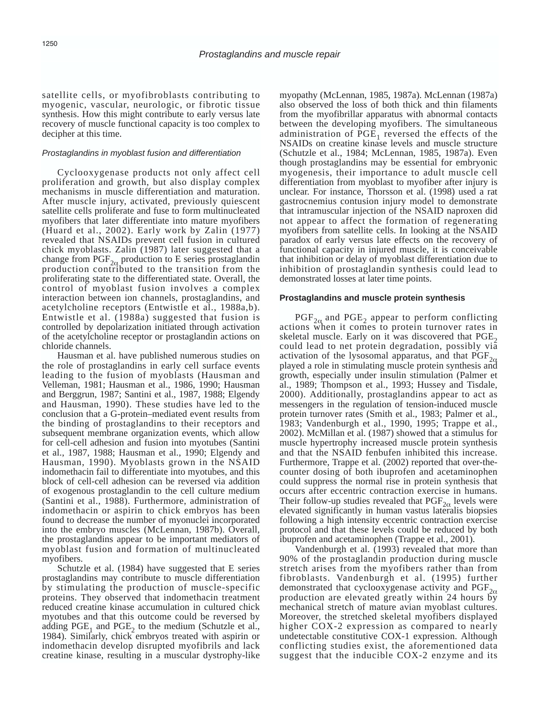satellite cells, or myofibroblasts contributing to myogenic, vascular, neurologic, or fibrotic tissue synthesis. How this might contribute to early versus late recovery of muscle functional capacity is too complex to decipher at this time.

## Prostaglandins in myoblast fusion and differentiation

Cyclooxygenase products not only affect cell proliferation and growth, but also display complex mechanisms in muscle differentiation and maturation. After muscle injury, activated, previously quiescent satellite cells proliferate and fuse to form multinucleated myofibers that later differentiate into mature myofibers (Huard et al., 2002). Early work by Zalin (1977) revealed that NSAIDs prevent cell fusion in cultured chick myoblasts. Zalin (1987) later suggested that a change from  $\text{PGF}_{2\alpha}$  production to E series prostaglandin production contributed to the transition from the proliferating state to the differentiated state. Overall, the control of myoblast fusion involves a complex interaction between ion channels, prostaglandins, and acetylcholine receptors (Entwistle et al., 1988a,b). Entwistle et al. (1988a) suggested that fusion is controlled by depolarization initiated through activation of the acetylcholine receptor or prostaglandin actions on chloride channels.

Hausman et al. have published numerous studies on the role of prostaglandins in early cell surface events leading to the fusion of myoblasts (Hausman and Velleman, 1981; Hausman et al., 1986, 1990; Hausman and Berggrun, 1987; Santini et al., 1987, 1988; Elgendy and Hausman, 1990). These studies have led to the conclusion that a G-protein–mediated event results from the binding of prostaglandins to their receptors and subsequent membrane organization events, which allow for cell-cell adhesion and fusion into myotubes (Santini et al., 1987, 1988; Hausman et al., 1990; Elgendy and Hausman, 1990). Myoblasts grown in the NSAID indomethacin fail to differentiate into myotubes, and this block of cell-cell adhesion can be reversed via addition of exogenous prostaglandin to the cell culture medium (Santini et al., 1988). Furthermore, administration of indomethacin or aspirin to chick embryos has been found to decrease the number of myonuclei incorporated into the embryo muscles (McLennan, 1987b). Overall, the prostaglandins appear to be important mediators of myoblast fusion and formation of multinucleated myofibers.

Schutzle et al. (1984) have suggested that E series prostaglandins may contribute to muscle differentiation by stimulating the production of muscle-specific proteins. They observed that indomethacin treatment reduced creatine kinase accumulation in cultured chick myotubes and that this outcome could be reversed by adding  $PGE_1$  and  $PGE_2$  to the medium (Schutzle et al., 1984). Similarly, chick embryos treated with aspirin or indomethacin develop disrupted myofibrils and lack creatine kinase, resulting in a muscular dystrophy-like

myopathy (McLennan, 1985, 1987a). McLennan (1987a) also observed the loss of both thick and thin filaments from the myofibrillar apparatus with abnormal contacts between the developing myofibers. The simultaneous administration of  $\overline{PGE}_1$  reversed the effects of the NSAIDs on creatine kinase levels and muscle structure (Schutzle et al., 1984; McLennan, 1985, 1987a). Even though prostaglandins may be essential for embryonic myogenesis, their importance to adult muscle cell differentiation from myoblast to myofiber after injury is unclear. For instance, Thorsson et al. (1998) used a rat gastrocnemius contusion injury model to demonstrate that intramuscular injection of the NSAID naproxen did not appear to affect the formation of regenerating myofibers from satellite cells. In looking at the NSAID paradox of early versus late effects on the recovery of functional capacity in injured muscle, it is conceivable that inhibition or delay of myoblast differentiation due to inhibition of prostaglandin synthesis could lead to demonstrated losses at later time points.

#### **Prostaglandins and muscle protein synthesis**

 $PGF_{2\alpha}$  and  $PGE_2$  appear to perform conflicting actions when it comes to protein turnover rates in skeletal muscle. Early on it was discovered that  $PGE<sub>2</sub>$ could lead to net protein degradation, possibly via activation of the lysosomal apparatus, and that  $\overline{PGF}_{2\alpha}$  played a role in stimulating muscle protein synthesis and growth, especially under insulin stimulation (Palmer et al., 1989; Thompson et al., 1993; Hussey and Tisdale, 2000). Additionally, prostaglandins appear to act as messengers in the regulation of tension-induced muscle protein turnover rates (Smith et al., 1983; Palmer et al., 1983; Vandenburgh et al., 1990, 1995; Trappe et al., 2002). McMillan et al. (1987) showed that a stimulus for muscle hypertrophy increased muscle protein synthesis and that the NSAID fenbufen inhibited this increase. Furthermore, Trappe et al. (2002) reported that over-thecounter dosing of both ibuprofen and acetaminophen could suppress the normal rise in protein synthesis that occurs after eccentric contraction exercise in humans. Their follow-up studies revealed that  $PGF_{2\alpha}$  levels were elevated significantly in human vastus lateralis biopsies following a high intensity eccentric contraction exercise protocol and that these levels could be reduced by both ibuprofen and acetaminophen (Trappe et al., 2001).

Vandenburgh et al. (1993) revealed that more than 90% of the prostaglandin production during muscle stretch arises from the myofibers rather than from fibroblasts. Vandenburgh et al. (1995) further demonstrated that cyclooxygenase activity and  $PGF_{2\alpha}$  production are elevated greatly within 24 hours by mechanical stretch of mature avian myoblast cultures. Moreover, the stretched skeletal myofibers displayed higher COX-2 expression as compared to nearly undetectable constitutive COX-1 expression. Although conflicting studies exist, the aforementioned data suggest that the inducible COX-2 enzyme and its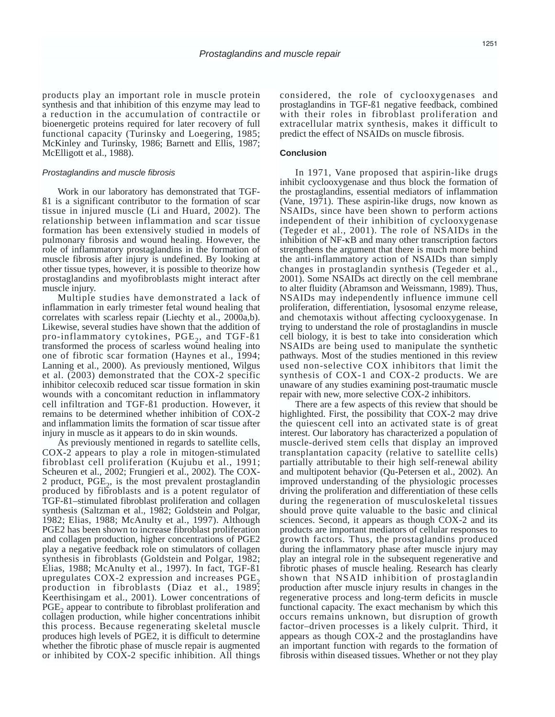products play an important role in muscle protein synthesis and that inhibition of this enzyme may lead to a reduction in the accumulation of contractile or bioenergetic proteins required for later recovery of full functional capacity (Turinsky and Loegering, 1985; McKinley and Turinsky, 1986; Barnett and Ellis, 1987; McElligott et al., 1988).

#### Prostaglandins and muscle fibrosis

Work in our laboratory has demonstrated that TGFß1 is a significant contributor to the formation of scar tissue in injured muscle (Li and Huard, 2002). The relationship between inflammation and scar tissue formation has been extensively studied in models of pulmonary fibrosis and wound healing. However, the role of inflammatory prostaglandins in the formation of muscle fibrosis after injury is undefined. By looking at other tissue types, however, it is possible to theorize how prostaglandins and myofibroblasts might interact after muscle injury.

Multiple studies have demonstrated a lack of inflammation in early trimester fetal wound healing that correlates with scarless repair (Liechty et al., 2000a,b). Likewise, several studies have shown that the addition of pro-inflammatory cytokines,  $PGE<sub>2</sub>$ , and TGF- $\beta$ 1 transformed the process of scarless wound healing into one of fibrotic scar formation (Haynes et al., 1994; Lanning et al., 2000). As previously mentioned, Wilgus et al. (2003) demonstrated that the COX-2 specific inhibitor celecoxib reduced scar tissue formation in skin wounds with a concomitant reduction in inflammatory cell infiltration and TGF-ß1 production. However, it remains to be determined whether inhibition of COX-2 and inflammation limits the formation of scar tissue after injury in muscle as it appears to do in skin wounds.

As previously mentioned in regards to satellite cells, COX-2 appears to play a role in mitogen-stimulated fibroblast cell proliferation (Kujubu et al., 1991; Scheuren et al., 2002; Frungieri et al., 2002). The COX-2 product,  $PGE<sub>2</sub>$ , is the most prevalent prostaglandin produced by fibroblasts and is a potent regulator of TGF-ß1–stimulated fibroblast proliferation and collagen synthesis (Saltzman et al., 1982; Goldstein and Polgar, 1982; Elias, 1988; McAnulty et al., 1997). Although PGE2 has been shown to increase fibroblast proliferation and collagen production, higher concentrations of PGE2 play a negative feedback role on stimulators of collagen synthesis in fibroblasts (Goldstein and Polgar, 1982; Elias, 1988; McAnulty et al., 1997). In fact, TGF-ß1 upregulates  $COX-2$  expression and increases  $PGE<sub>2</sub>$ production in fibroblasts (Diaz et al., 1989; Keerthisingam et al., 2001). Lower concentrations of PGE<sub>2</sub> appear to contribute to fibroblast proliferation and collagen production, while higher concentrations inhibit this process. Because regenerating skeletal muscle produces high levels of PGE2, it is difficult to determine whether the fibrotic phase of muscle repair is augmented or inhibited by COX-2 specific inhibition. All things considered, the role of cyclooxygenases and prostaglandins in TGF-ß1 negative feedback, combined with their roles in fibroblast proliferation and extracellular matrix synthesis, makes it difficult to predict the effect of NSAIDs on muscle fibrosis.

## **Conclusion**

In 1971, Vane proposed that aspirin-like drugs inhibit cyclooxygenase and thus block the formation of the prostaglandins, essential mediators of inflammation (Vane, 1971). These aspirin-like drugs, now known as NSAIDs, since have been shown to perform actions independent of their inhibition of cyclooxygenase (Tegeder et al., 2001). The role of NSAIDs in the inhibition of NF-κB and many other transcription factors strengthens the argument that there is much more behind the anti-inflammatory action of NSAIDs than simply changes in prostaglandin synthesis (Tegeder et al., 2001). Some NSAIDs act directly on the cell membrane to alter fluidity (Abramson and Weissmann, 1989). Thus, NSAIDs may independently influence immune cell proliferation, differentiation, lysosomal enzyme release, and chemotaxis without affecting cyclooxygenase. In trying to understand the role of prostaglandins in muscle cell biology, it is best to take into consideration which NSAIDs are being used to manipulate the synthetic pathways. Most of the studies mentioned in this review used non-selective COX inhibitors that limit the synthesis of COX-1 and COX-2 products. We are unaware of any studies examining post-traumatic muscle repair with new, more selective COX-2 inhibitors.

There are a few aspects of this review that should be highlighted. First, the possibility that COX-2 may drive the quiescent cell into an activated state is of great interest. Our laboratory has characterized a population of muscle-derived stem cells that display an improved transplantation capacity (relative to satellite cells) partially attributable to their high self-renewal ability and multipotent behavior (Qu-Petersen et al., 2002). An improved understanding of the physiologic processes driving the proliferation and differentiation of these cells during the regeneration of musculoskeletal tissues should prove quite valuable to the basic and clinical sciences. Second, it appears as though COX-2 and its products are important mediators of cellular responses to growth factors. Thus, the prostaglandins produced during the inflammatory phase after muscle injury may play an integral role in the subsequent regenerative and fibrotic phases of muscle healing. Research has clearly shown that NSAID inhibition of prostaglandin production after muscle injury results in changes in the regenerative process and long-term deficits in muscle functional capacity. The exact mechanism by which this occurs remains unknown, but disruption of growth factor–driven processes is a likely culprit. Third, it appears as though COX-2 and the prostaglandins have an important function with regards to the formation of fibrosis within diseased tissues. Whether or not they play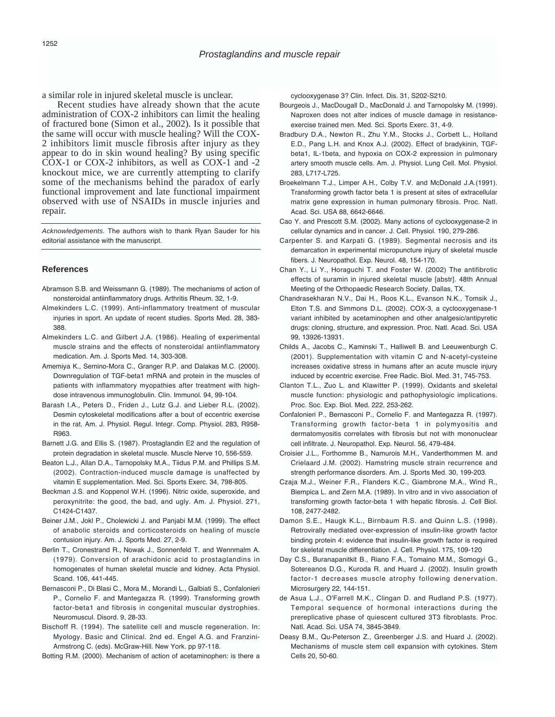a similar role in injured skeletal muscle is unclear.

Recent studies have already shown that the acute administration of COX-2 inhibitors can limit the healing of fractured bone (Simon et al., 2002). Is it possible that the same will occur with muscle healing? Will the COX-2 inhibitors limit muscle fibrosis after injury as they appear to do in skin wound healing? By using specific COX-1 or COX-2 inhibitors, as well as COX-1 and -2 knockout mice, we are currently attempting to clarify some of the mechanisms behind the paradox of early functional improvement and late functional impairment observed with use of NSAIDs in muscle injuries and repair.

Acknowledgements. The authors wish to thank Ryan Sauder for his editorial assistance with the manuscript.

## **References**

- Abramson S.B. and Weissmann G. (1989). The mechanisms of action of nonsteroidal antiinflammatory drugs. Arthritis Rheum. 32, 1-9.
- Almekinders L.C. (1999). Anti-inflammatory treatment of muscular injuries in sport. An update of recent studies. Sports Med. 28, 383- 388.
- Almekinders L.C. and Gilbert J.A. (1986). Healing of experimental muscle strains and the effects of nonsteroidal antiinflammatory medication. Am. J. Sports Med. 14, 303-308.
- Amemiya K., Semino-Mora C., Granger R.P. and Dalakas M.C. (2000). Downregulation of TGF-beta1 mRNA and protein in the muscles of patients with inflammatory myopathies after treatment with highdose intravenous immunoglobulin. Clin. Immunol. 94, 99-104.
- Barash I.A., Peters D., Friden J., Lutz G.J. and Lieber R.L. (2002). Desmin cytoskeletal modifications after a bout of eccentric exercise in the rat. Am. J. Physiol. Regul. Integr. Comp. Physiol. 283, R958- R963.
- Barnett J.G. and Ellis S. (1987). Prostaglandin E2 and the regulation of protein degradation in skeletal muscle. Muscle Nerve 10, 556-559.
- Beaton L.J., Allan D.A., Tarnopolsky M.A., Tiidus P.M. and Phillips S.M. (2002). Contraction-induced muscle damage is unaffected by vitamin E supplementation. Med. Sci. Sports Exerc. 34, 798-805.
- Beckman J.S. and Koppenol W.H. (1996). Nitric oxide, superoxide, and peroxynitrite: the good, the bad, and ugly. Am. J. Physiol. 271, C1424-C1437.
- Beiner J.M., Jokl P., Cholewicki J. and Panjabi M.M. (1999). The effect of anabolic steroids and corticosteroids on healing of muscle contusion injury. Am. J. Sports Med. 27, 2-9.
- Berlin T., Cronestrand R., Nowak J., Sonnenfeld T. and Wennmalm A. (1979). Conversion of arachidonic acid to prostaglandins in homogenates of human skeletal muscle and kidney. Acta Physiol. Scand. 106, 441-445.
- Bernasconi P., Di Blasi C., Mora M., Morandi L., Galbiati S., Confalonieri P., Cornelio F. and Mantegazza R. (1999). Transforming growth factor-beta1 and fibrosis in congenital muscular dystrophies. Neuromuscul. Disord. 9, 28-33.
- Bischoff R. (1994). The satellite cell and muscle regeneration. In: Myology. Basic and Clinical. 2nd ed. Engel A.G. and Franzini-Armstrong C. (eds). McGraw-Hill. New York. pp 97-118.

Botting R.M. (2000). Mechanism of action of acetaminophen: is there a

cyclooxygenase 3? Clin. Infect. Dis. 31, S202-S210.

- Bourgeois J., MacDougall D., MacDonald J. and Tarnopolsky M. (1999). Naproxen does not alter indices of muscle damage in resistanceexercise trained men. Med. Sci. Sports Exerc. 31, 4-9.
- Bradbury D.A., Newton R., Zhu Y.M., Stocks J., Corbett L., Holland E.D., Pang L.H. and Knox A.J. (2002). Effect of bradykinin, TGFbeta1, IL-1beta, and hypoxia on COX-2 expression in pulmonary artery smooth muscle cells. Am. J. Physiol. Lung Cell. Mol. Physiol. 283, L717-L725.
- Broekelmann T.J., Limper A.H., Colby T.V. and McDonald J.A.(1991). Transforming growth factor beta 1 is present at sites of extracellular matrix gene expression in human pulmonary fibrosis. Proc. Natl. Acad. Sci. USA 88, 6642-6646.
- Cao Y. and Prescott S.M. (2002). Many actions of cyclooxygenase-2 in cellular dynamics and in cancer. J. Cell. Physiol. 190, 279-286.
- Carpenter S. and Karpati G. (1989). Segmental necrosis and its demarcation in experimental micropuncture injury of skeletal muscle fibers. J. Neuropathol. Exp. Neurol. 48, 154-170.
- Chan Y., Li Y., Horaguchi T. and Foster W. (2002) The antifibrotic effects of suramin in injured skeletal muscle [abstr]. 48th Annual Meeting of the Orthopaedic Research Society. Dallas, TX.
- Chandrasekharan N.V., Dai H., Roos K.L., Evanson N.K., Tomsik J., Elton T.S. and Simmons D.L. (2002). COX-3, a cyclooxygenase-1 variant inhibited by acetaminophen and other analgesic/antipyretic drugs: cloning, structure, and expression. Proc. Natl. Acad. Sci. USA 99, 13926-13931.
- Childs A., Jacobs C., Kaminski T., Halliwell B. and Leeuwenburgh C. (2001). Supplementation with vitamin C and N-acetyl-cysteine increases oxidative stress in humans after an acute muscle injury induced by eccentric exercise. Free Radic. Biol. Med. 31, 745-753.
- Clanton T.L., Zuo L. and Klawitter P. (1999). Oxidants and skeletal muscle function: physiologic and pathophysiologic implications. Proc. Soc. Exp. Biol. Med. 222, 253-262.
- Confalonieri P., Bernasconi P., Cornelio F. and Mantegazza R. (1997). Transforming growth factor-beta 1 in polymyositis and dermatomyositis correlates with fibrosis but not with mononuclear cell infiltrate. J. Neuropathol. Exp. Neurol. 56, 479-484.
- Croisier J.L., Forthomme B., Namurois M.H., Vanderthommen M. and Crielaard J.M. (2002). Hamstring muscle strain recurrence and strength performance disorders. Am. J. Sports Med. 30, 199-203.
- Czaja M.J., Weiner F.R., Flanders K.C., Giambrone M.A., Wind R., Biempica L. and Zern M.A. (1989). In vitro and in vivo association of transforming growth factor-beta 1 with hepatic fibrosis. J. Cell Biol. 108, 2477-2482.
- Damon S.E., Haugk K.L., Birnbaum R.S. and Quinn L.S. (1998). Retrovirally mediated over-expression of insulin-like growth factor binding protein 4: evidence that insulin-like growth factor is required for skeletal muscle differentiation. J. Cell. Physiol. 175, 109-120
- Day C.S., Buranapanitkit B., Riano F.A., Tomaino M.M., Somogyi G., Sotereanos D.G., Kuroda R. and Huard J. (2002). Insulin growth factor-1 decreases muscle atrophy following denervation. Microsurgery 22, 144-151.
- de Asua L.J., O'Farrell M.K., Clingan D. and Rudland P.S. (1977). Temporal sequence of hormonal interactions during the prereplicative phase of quiescent cultured 3T3 fibroblasts. Proc. Natl. Acad. Sci. USA 74, 3845-3849.
- Deasy B.M., Qu-Peterson Z., Greenberger J.S. and Huard J. (2002). Mechanisms of muscle stem cell expansion with cytokines. Stem Cells 20, 50-60.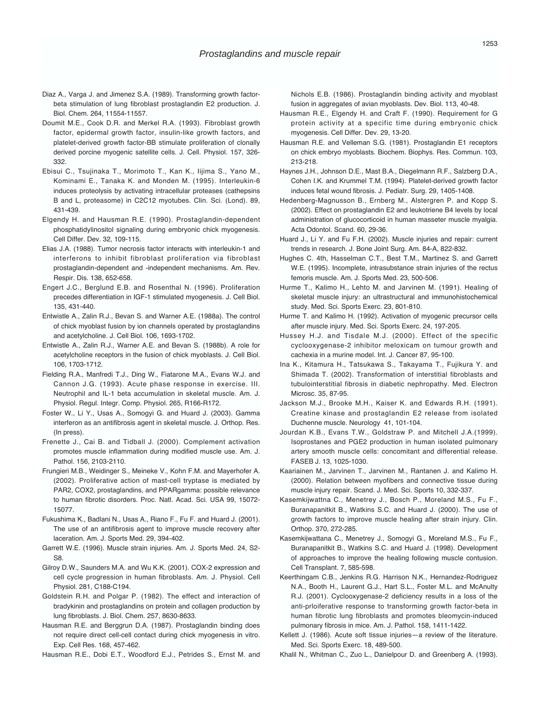- Diaz A., Varga J. and Jimenez S.A. (1989). Transforming growth factorbeta stimulation of lung fibroblast prostaglandin E2 production. J. Biol. Chem. 264, 11554-11557.
- Doumit M.E., Cook D.R. and Merkel R.A. (1993). Fibroblast growth factor, epidermal growth factor, insulin-like growth factors, and platelet-derived growth factor-BB stimulate proliferation of clonally derived porcine myogenic satellite cells. J. Cell. Physiol. 157, 326- 332.
- Ebisui C., Tsujinaka T., Morimoto T., Kan K., Iijima S., Yano M., Kominami E., Tanaka K. and Monden M. (1995). Interleukin-6 induces proteolysis by activating intracellular proteases (cathepsins B and L, proteasome) in C2C12 myotubes. Clin. Sci. (Lond). 89, 431-439.
- Elgendy H. and Hausman R.E. (1990). Prostaglandin-dependent phosphatidylinositol signaling during embryonic chick myogenesis. Cell Differ. Dev. 32, 109-115.
- Elias J.A. (1988). Tumor necrosis factor interacts with interleukin-1 and interferons to inhibit fibroblast proliferation via fibroblast prostaglandin-dependent and -independent mechanisms. Am. Rev. Respir. Dis. 138, 652-658.
- Engert J.C., Berglund E.B. and Rosenthal N. (1996). Proliferation precedes differentiation in IGF-1 stimulated myogenesis. J. Cell Biol. 135, 431-440.
- Entwistle A., Zalin R.J., Bevan S. and Warner A.E. (1988a). The control of chick myoblast fusion by ion channels operated by prostaglandins and acetylcholine. J. Cell Biol. 106, 1693-1702.
- Entwistle A., Zalin R.J., Warner A.E. and Bevan S. (1988b). A role for acetylcholine receptors in the fusion of chick myoblasts. J. Cell Biol. 106, 1703-1712.
- Fielding R.A., Manfredi T.J., Ding W., Fiatarone M.A., Evans W.J. and Cannon J.G. (1993). Acute phase response in exercise. III. Neutrophil and IL-1 beta accumulation in skeletal muscle. Am. J. Physiol. Regul. Integr. Comp. Physiol. 265, R166-R172.
- Foster W., Li Y., Usas A., Somogyi G. and Huard J. (2003). Gamma interferon as an antifibrosis agent in skeletal muscle. J. Orthop. Res. (In press).
- Frenette J., Cai B. and Tidball J. (2000). Complement activation promotes muscle inflammation during modified muscle use. Am. J. Pathol. 156, 2103-2110.
- Frungieri M.B., Weidinger S., Meineke V., Kohn F.M. and Mayerhofer A. (2002). Proliferative action of mast-cell tryptase is mediated by PAR2, COX2, prostaglandins, and PPARgamma: possible relevance to human fibrotic disorders. Proc. Natl. Acad. Sci. USA 99, 15072- 15077.
- Fukushima K., Badlani N., Usas A., Riano F., Fu F. and Huard J. (2001). The use of an antifibrosis agent to improve muscle recovery after laceration. Am. J. Sports Med. 29, 394-402.
- Garrett W.E. (1996). Muscle strain injuries. Am. J. Sports Med. 24, S2- S8.
- Gilroy D.W., Saunders M.A. and Wu K.K. (2001). COX-2 expression and cell cycle progression in human fibroblasts. Am. J. Physiol. Cell Physiol. 281, C188-C194.
- Goldstein R.H. and Polgar P. (1982). The effect and interaction of bradykinin and prostaglandins on protein and collagen production by lung fibroblasts. J. Biol. Chem. 257, 8630-8633.
- Hausman R.E. and Berggrun D.A. (1987). Prostaglandin binding does not require direct cell-cell contact during chick myogenesis in vitro. Exp. Cell Res. 168, 457-462.
- Hausman R.E., Dobi E.T., Woodford E.J., Petrides S., Ernst M. and

Nichols E.B. (1986). Prostaglandin binding activity and myoblast fusion in aggregates of avian myoblasts. Dev. Biol. 113, 40-48.

- Hausman R.E., Elgendy H. and Craft F. (1990). Requirement for G protein activity at a specific time during embryonic chick myogenesis. Cell Differ. Dev. 29, 13-20.
- Hausman R.E. and Velleman S.G. (1981). Prostaglandin E1 receptors on chick embryo myoblasts. Biochem. Biophys. Res. Commun. 103, 213-218.
- Haynes J.H., Johnson D.E., Mast B.A., Diegelmann R.F., Salzberg D.A., Cohen I.K. and Krummel T.M. (1994). Platelet-derived growth factor induces fetal wound fibrosis. J. Pediatr. Surg. 29, 1405-1408.
- Hedenberg-Magnusson B., Ernberg M., Alstergren P. and Kopp S. (2002). Effect on prostaglandin E2 and leukotriene B4 levels by local administration of glucocorticoid in human masseter muscle myalgia. Acta Odontol. Scand. 60, 29-36.
- Huard J., Li Y. and Fu F.H. (2002). Muscle injuries and repair: current trends in research. J. Bone Joint Surg. Am. 84-A, 822-832.
- Hughes C. 4th, Hasselman C.T., Best T.M., Martinez S. and Garrett W.E. (1995). Incomplete, intrasubstance strain injuries of the rectus femoris muscle. Am. J. Sports Med. 23, 500-506.
- Hurme T., Kalimo H., Lehto M. and Jarvinen M. (1991). Healing of skeletal muscle injury: an ultrastructural and immunohistochemical study. Med. Sci. Sports Exerc. 23, 801-810.
- Hurme T. and Kalimo H. (1992). Activation of myogenic precursor cells after muscle injury. Med. Sci. Sports Exerc. 24, 197-205.
- Hussey H.J. and Tisdale M.J. (2000). Effect of the specific cyclooxygenase-2 inhibitor meloxicam on tumour growth and cachexia in a murine model. Int. J. Cancer 87, 95-100.
- Ina K., Kitamura H., Tatsukawa S., Takayama T., Fujikura Y. and Shimada T. (2002). Transformation of interstitial fibroblasts and tubulointerstitial fibrosis in diabetic nephropathy. Med. Electron Microsc. 35, 87-95.
- Jackson M.J., Brooke M.H., Kaiser K. and Edwards R.H. (1991). Creatine kinase and prostaglandin E2 release from isolated Duchenne muscle. Neurology 41, 101-104.
- Jourdan K.B., Evans T.W., Goldstraw P. and Mitchell J.A.(1999). Isoprostanes and PGE2 production in human isolated pulmonary artery smooth muscle cells: concomitant and differential release. FASEB J. 13, 1025-1030.
- Kaariainen M., Jarvinen T., Jarvinen M., Rantanen J. and Kalimo H. (2000). Relation between myofibers and connective tissue during muscle injury repair. Scand. J. Med. Sci. Sports 10, 332-337.
- Kasemkijwattna C., Menetrey J., Bosch P., Moreland M.S., Fu F., Buranapanitkit B., Watkins S.C. and Huard J. (2000). The use of growth factors to improve muscle healing after strain injury. Clin. Orthop. 370, 272-285.
- Kasemkijwattana C., Menetrey J., Somogyi G., Moreland M.S., Fu F., Buranapanitkit B., Watkins S.C. and Huard J. (1998). Development of approaches to improve the healing following muscle contusion. Cell Transplant. 7, 585-598.
- Keerthingam C.B., Jenkins R.G. Harrison N.K., Hernandez-Rodriguez N.A., Booth H., Laurent G.J., Hart S.L., Foster M.L. and McAnulty R.J. (2001). Cyclooxygenase-2 deficiency results in a loss of the anti-prloiferative response to transforming growth factor-beta in human fibrotic lung fibroblasts and promotes bleomycin-induced pulmonary fibrosis in mice. Am. J. Pathol. 158, 1411-1422.
- Kellett J. (1986). Acute soft tissue injuries-a review of the literature. Med. Sci. Sports Exerc. 18, 489-500.
- Khalil N., Whitman C., Zuo L., Danielpour D. and Greenberg A. (1993).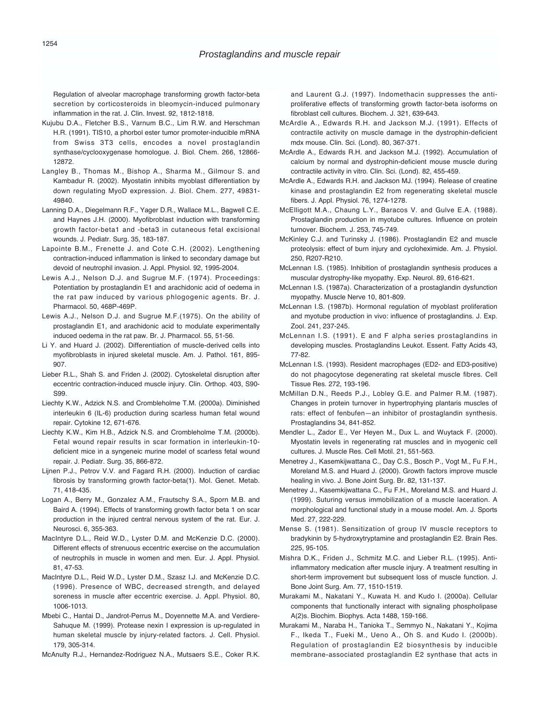Regulation of alveolar macrophage transforming growth factor-beta secretion by corticosteroids in bleomycin-induced pulmonary inflammation in the rat. J. Clin. Invest. 92, 1812-1818.

- Kujubu D.A., Fletcher B.S., Varnum B.C., Lim R.W. and Herschman H.R. (1991). TIS10, a phorbol ester tumor promoter-inducible mRNA from Swiss 3T3 cells, encodes a novel prostaglandin synthase/cyclooxygenase homologue. J. Biol. Chem. 266, 12866- 12872.
- Langley B., Thomas M., Bishop A., Sharma M., Gilmour S. and Kambadur R. (2002). Myostatin inhibits myoblast differentiation by down regulating MyoD expression. J. Biol. Chem. 277, 49831- 49840.
- Lanning D.A., Diegelmann R.F., Yager D.R., Wallace M.L., Bagwell C.E. and Haynes J.H. (2000). Myofibroblast induction with transforming growth factor-beta1 and -beta3 in cutaneous fetal excisional wounds. J. Pediatr. Surg. 35, 183-187.
- Lapointe B.M., Frenette J. and Cote C.H. (2002). Lengthening contraction-induced inflammation is linked to secondary damage but devoid of neutrophil invasion. J. Appl. Physiol. 92, 1995-2004.
- Lewis A.J., Nelson D.J. and Sugrue M.F. (1974). Proceedings: Potentiation by prostaglandin E1 and arachidonic acid of oedema in the rat paw induced by various phlogogenic agents. Br. J. Pharmacol. 50, 468P-469P.
- Lewis A.J., Nelson D.J. and Sugrue M.F.(1975). On the ability of prostaglandin E1, and arachidonic acid to modulate experimentally induced oedema in the rat paw. Br. J. Pharmacol. 55, 51-56.
- Li Y. and Huard J. (2002). Differentiation of muscle-derived cells into myofibroblasts in injured skeletal muscle. Am. J. Pathol. 161, 895- 907.
- Lieber R.L., Shah S. and Friden J. (2002). Cytoskeletal disruption after eccentric contraction-induced muscle injury. Clin. Orthop. 403, S90- S99.
- Liechty K.W., Adzick N.S. and Crombleholme T.M. (2000a). Diminished interleukin 6 (IL-6) production during scarless human fetal wound repair. Cytokine 12, 671-676.
- Liechty K.W., Kim H.B., Adzick N.S. and Crombleholme T.M. (2000b). Fetal wound repair results in scar formation in interleukin-10 deficient mice in a syngeneic murine model of scarless fetal wound repair. J. Pediatr. Surg. 35, 866-872.
- Lijnen P.J., Petrov V.V. and Fagard R.H. (2000). Induction of cardiac fibrosis by transforming growth factor-beta(1). Mol. Genet. Metab. 71, 418-435.
- Logan A., Berry M., Gonzalez A.M., Frautschy S.A., Sporn M.B. and Baird A. (1994). Effects of transforming growth factor beta 1 on scar production in the injured central nervous system of the rat. Eur. J. Neurosci. 6, 355-363.
- MacIntyre D.L., Reid W.D., Lyster D.M. and McKenzie D.C. (2000). Different effects of strenuous eccentric exercise on the accumulation of neutrophils in muscle in women and men. Eur. J. Appl. Physiol. 81, 47-53.
- MacIntyre D.L., Reid W.D., Lyster D.M., Szasz I.J. and McKenzie D.C. (1996). Presence of WBC, decreased strength, and delayed soreness in muscle after eccentric exercise. J. Appl. Physiol. 80, 1006-1013.
- Mbebi C., Hantai D., Jandrot-Perrus M., Doyennette M.A. and Verdiere-Sahuque M. (1999). Protease nexin I expression is up-regulated in human skeletal muscle by injury-related factors. J. Cell. Physiol. 179, 305-314.

McAnulty R.J., Hernandez-Rodriguez N.A., Mutsaers S.E., Coker R.K.

and Laurent G.J. (1997). Indomethacin suppresses the antiproliferative effects of transforming growth factor-beta isoforms on fibroblast cell cultures. Biochem. J. 321, 639-643.

- McArdle A., Edwards R.H. and Jackson M.J. (1991). Effects of contractile activity on muscle damage in the dystrophin-deficient mdx mouse. Clin. Sci. (Lond). 80, 367-371.
- McArdle A., Edwards R.H. and Jackson M.J. (1992). Accumulation of calcium by normal and dystrophin-deficient mouse muscle during contractile activity in vitro. Clin. Sci. (Lond). 82, 455-459.
- McArdle A., Edwards R.H. and Jackson MJ. (1994). Release of creatine kinase and prostaglandin E2 from regenerating skeletal muscle fibers. J. Appl. Physiol. 76, 1274-1278.
- McElligott M.A., Chaung L.Y., Baracos V. and Gulve E.A. (1988). Prostaglandin production in myotube cultures. Influence on protein turnover. Biochem. J. 253, 745-749.
- McKinley C.J. and Turinsky J. (1986). Prostaglandin E2 and muscle proteolysis: effect of burn injury and cycloheximide. Am. J. Physiol. 250, R207-R210.
- McLennan I.S. (1985). Inhibition of prostaglandin synthesis produces a muscular dystrophy-like myopathy. Exp. Neurol. 89, 616-621.
- McLennan I.S. (1987a). Characterization of a prostaglandin dysfunction myopathy. Muscle Nerve 10, 801-809.
- McLennan I.S. (1987b). Hormonal regulation of myoblast proliferation and myotube production in vivo: influence of prostaglandins. J. Exp. Zool. 241, 237-245.
- McLennan I.S. (1991). E and F alpha series prostaglandins in developing muscles. Prostaglandins Leukot. Essent. Fatty Acids 43, 77-82.
- McLennan I.S. (1993). Resident macrophages (ED2- and ED3-positive) do not phagocytose degenerating rat skeletal muscle fibres. Cell Tissue Res. 272, 193-196.
- McMillan D.N., Reeds P.J., Lobley G.E. and Palmer R.M. (1987). Changes in protein turnover in hypertrophying plantaris muscles of rats: effect of fenbufen-an inhibitor of prostaglandin synthesis. Prostaglandins 34, 841-852.
- Mendler L., Zador E., Ver Heyen M., Dux L. and Wuytack F. (2000). Myostatin levels in regenerating rat muscles and in myogenic cell cultures. J. Muscle Res. Cell Motil. 21, 551-563.
- Menetrey J., Kasemkijwattana C., Day C.S., Bosch P., Vogt M., Fu F.H., Moreland M.S. and Huard J. (2000). Growth factors improve muscle healing in vivo. J. Bone Joint Surg. Br. 82, 131-137.
- Menetrey J., Kasemkijwattana C., Fu F.H., Moreland M.S. and Huard J. (1999). Suturing versus immobilization of a muscle laceration. A morphological and functional study in a mouse model. Am. J. Sports Med. 27, 222-229.
- Mense S. (1981). Sensitization of group IV muscle receptors to bradykinin by 5-hydroxytryptamine and prostaglandin E2. Brain Res. 225, 95-105.
- Mishra D.K., Friden J., Schmitz M.C. and Lieber R.L. (1995). Antiinflammatory medication after muscle injury. A treatment resulting in short-term improvement but subsequent loss of muscle function. J. Bone Joint Surg. Am. 77, 1510-1519.
- Murakami M., Nakatani Y., Kuwata H. and Kudo I. (2000a). Cellular components that functionally interact with signaling phospholipase A(2)s. Biochim. Biophys. Acta 1488, 159-166.
- Murakami M., Naraba H., Tanioka T., Semmyo N., Nakatani Y., Kojima F., Ikeda T., Fueki M., Ueno A., Oh S. and Kudo I. (2000b). Regulation of prostaglandin E2 biosynthesis by inducible membrane-associated prostaglandin E2 synthase that acts in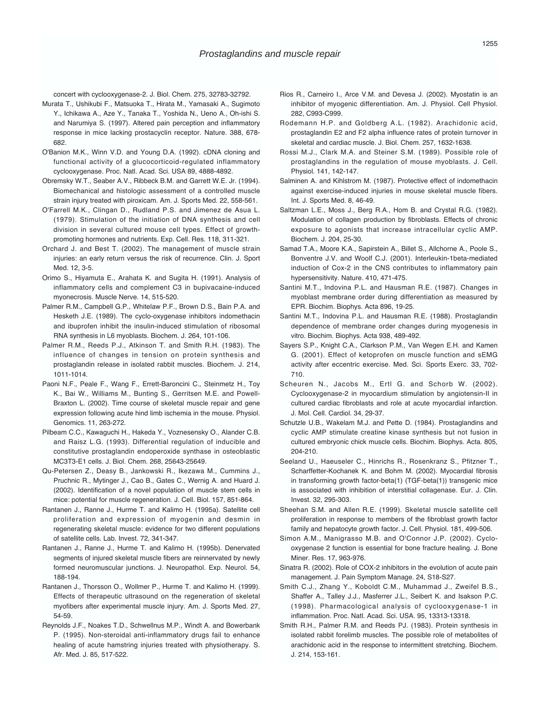concert with cyclooxygenase-2. J. Biol. Chem. 275, 32783-32792.

- Murata T., Ushikubi F., Matsuoka T., Hirata M., Yamasaki A., Sugimoto Y., Ichikawa A., Aze Y., Tanaka T., Yoshida N., Ueno A., Oh-ishi S. and Narumiya S. (1997). Altered pain perception and inflammatory response in mice lacking prostacyclin receptor. Nature. 388, 678- 682.
- O'Banion M.K., Winn V.D. and Young D.A. (1992). cDNA cloning and functional activity of a glucocorticoid-regulated inflammatory cyclooxygenase. Proc. Natl. Acad. Sci. USA 89, 4888-4892.
- Obremsky W.T., Seaber A.V., Ribbeck B.M. and Garrett W.E. Jr. (1994). Biomechanical and histologic assessment of a controlled muscle strain injury treated with piroxicam. Am. J. Sports Med. 22, 558-561.
- O'Farrell M.K., Clingan D., Rudland P.S. and Jimenez de Asua L. (1979). Stimulation of the initiation of DNA synthesis and cell division in several cultured mouse cell types. Effect of growthpromoting hormones and nutrients. Exp. Cell. Res. 118, 311-321.
- Orchard J. and Best T. (2002). The management of muscle strain injuries: an early return versus the risk of recurrence. Clin. J. Sport Med. 12, 3-5.
- Orimo S., Hiyamuta E., Arahata K. and Sugita H. (1991). Analysis of inflammatory cells and complement C3 in bupivacaine-induced myonecrosis. Muscle Nerve. 14, 515-520.
- Palmer R.M., Campbell G.P., Whitelaw P.F., Brown D.S., Bain P.A. and Hesketh J.E. (1989). The cyclo-oxygenase inhibitors indomethacin and ibuprofen inhibit the insulin-induced stimulation of ribosomal RNA synthesis in L6 myoblasts. Biochem. J. 264, 101-106.
- Palmer R.M., Reeds P.J., Atkinson T. and Smith R.H. (1983). The influence of changes in tension on protein synthesis and prostaglandin release in isolated rabbit muscles. Biochem. J. 214, 1011-1014.
- Paoni N.F., Peale F., Wang F., Errett-Baroncini C., Steinmetz H., Toy K., Bai W., Williams M., Bunting S., Gerritsen M.E. and Powell-Braxton L. (2002). Time course of skeletal muscle repair and gene expression following acute hind limb ischemia in the mouse. Physiol. Genomics. 11, 263-272.
- Pilbeam C.C., Kawaguchi H., Hakeda Y., Voznesensky O., Alander C.B. and Raisz L.G. (1993). Differential regulation of inducible and constitutive prostaglandin endoperoxide synthase in osteoblastic MC3T3-E1 cells. J. Biol. Chem. 268, 25643-25649.
- Qu-Petersen Z., Deasy B., Jankowski R., Ikezawa M., Cummins J., Pruchnic R., Mytinger J., Cao B., Gates C., Wernig A. and Huard J. (2002). Identification of a novel population of muscle stem cells in mice: potential for muscle regeneration. J. Cell. Biol. 157, 851-864.
- Rantanen J., Ranne J., Hurme T. and Kalimo H. (1995a). Satellite cell proliferation and expression of myogenin and desmin in regenerating skeletal muscle: evidence for two different populations of satellite cells. Lab. Invest. 72, 341-347.
- Rantanen J., Ranne J., Hurme T. and Kalimo H. (1995b). Denervated segments of injured skeletal muscle fibers are reinnervated by newly formed neuromuscular junctions. J. Neuropathol. Exp. Neurol. 54, 188-194.
- Rantanen J., Thorsson O., Wollmer P., Hurme T. and Kalimo H. (1999). Effects of therapeutic ultrasound on the regeneration of skeletal myofibers after experimental muscle injury. Am. J. Sports Med. 27, 54-59.
- Reynolds J.F., Noakes T.D., Schwellnus M.P., Windt A. and Bowerbank P. (1995). Non-steroidal anti-inflammatory drugs fail to enhance healing of acute hamstring injuries treated with physiotherapy. S. Afr. Med. J. 85, 517-522.
- Rios R., Carneiro I., Arce V.M. and Devesa J. (2002). Myostatin is an inhibitor of myogenic differentiation. Am. J. Physiol. Cell Physiol. 282, C993-C999.
- Rodemann H.P. and Goldberg A.L. (1982). Arachidonic acid, prostaglandin E2 and F2 alpha influence rates of protein turnover in skeletal and cardiac muscle. J. Biol. Chem. 257, 1632-1638.
- Rossi M.J., Clark M.A. and Steiner S.M. (1989). Possible role of prostaglandins in the regulation of mouse myoblasts. J. Cell. Physiol. 141, 142-147.
- Salminen A. and Kihlstrom M. (1987). Protective effect of indomethacin against exercise-induced injuries in mouse skeletal muscle fibers. Int. J. Sports Med. 8, 46-49.
- Saltzman L.E., Moss J., Berg R.A., Hom B. and Crystal R.G. (1982). Modulation of collagen production by fibroblasts. Effects of chronic exposure to agonists that increase intracellular cyclic AMP. Biochem. J. 204, 25-30.
- Samad T.A., Moore K.A., Sapirstein A., Billet S., Allchorne A., Poole S., Bonventre J.V. and Woolf C.J. (2001). Interleukin-1beta-mediated induction of Cox-2 in the CNS contributes to inflammatory pain hypersensitivity. Nature. 410, 471-475.
- Santini M.T., Indovina P.L. and Hausman R.E. (1987). Changes in myoblast membrane order during differentiation as measured by EPR. Biochim. Biophys. Acta 896, 19-25.
- Santini M.T., Indovina P.L. and Hausman R.E. (1988). Prostaglandin dependence of membrane order changes during myogenesis in vitro. Biochim. Biophys. Acta 938, 489-492.
- Sayers S.P., Knight C.A., Clarkson P.M., Van Wegen E.H. and Kamen G. (2001). Effect of ketoprofen on muscle function and sEMG activity after eccentric exercise. Med. Sci. Sports Exerc. 33, 702- 710.
- Scheuren N., Jacobs M., Ertl G. and Schorb W. (2002). Cyclooxygenase-2 in myocardium stimulation by angiotensin-II in cultured cardiac fibroblasts and role at acute myocardial infarction. J. Mol. Cell. Cardiol. 34, 29-37.
- Schutzle U.B., Wakelam M.J. and Pette D. (1984). Prostaglandins and cyclic AMP stimulate creatine kinase synthesis but not fusion in cultured embryonic chick muscle cells. Biochim. Biophys. Acta. 805, 204-210.
- Seeland U., Haeuseler C., Hinrichs R., Rosenkranz S., Pfitzner T., Scharffetter-Kochanek K. and Bohm M. (2002). Myocardial fibrosis in transforming growth factor-beta(1) (TGF-beta(1)) transgenic mice is associated with inhibition of interstitial collagenase. Eur. J. Clin. Invest. 32, 295-303.
- Sheehan S.M. and Allen R.E. (1999). Skeletal muscle satellite cell proliferation in response to members of the fibroblast growth factor family and hepatocyte growth factor. J. Cell. Physiol. 181, 499-506.
- Simon A.M., Manigrasso M.B. and O'Connor J.P. (2002). Cyclooxygenase 2 function is essential for bone fracture healing. J. Bone Miner. Res. 17, 963-976.
- Sinatra R. (2002). Role of COX-2 inhibitors in the evolution of acute pain management. J. Pain Symptom Manage. 24, S18-S27.
- Smith C.J., Zhang Y., Koboldt C.M., Muhammad J., Zweifel B.S., Shaffer A., Talley J.J., Masferrer J.L., Seibert K. and Isakson P.C. (1998). Pharmacological analysis of cyclooxygenase-1 in inflammation. Proc. Natl. Acad. Sci. USA. 95, 13313-13318.
- Smith R.H., Palmer R.M. and Reeds PJ. (1983). Protein synthesis in isolated rabbit forelimb muscles. The possible role of metabolites of arachidonic acid in the response to intermittent stretching. Biochem. J. 214, 153-161.